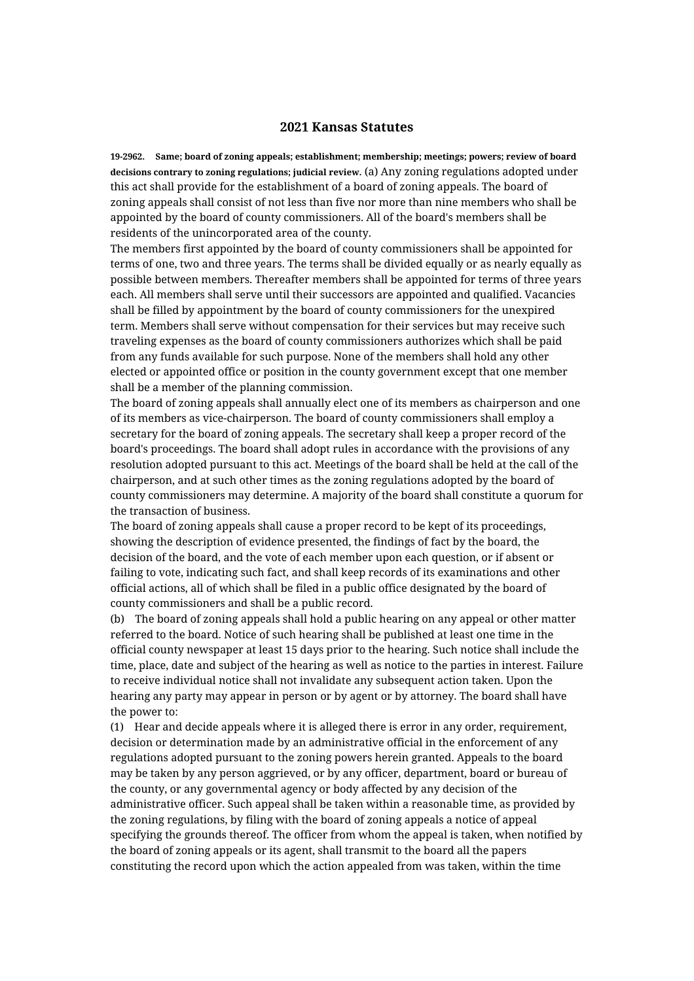## **2021 Kansas Statutes**

**19-2962. Same; board of zoning appeals; establishment; membership; meetings; powers; review of board decisions contrary to zoning regulations; judicial review.** (a) Any zoning regulations adopted under this act shall provide for the establishment of a board of zoning appeals. The board of zoning appeals shall consist of not less than five nor more than nine members who shall be appointed by the board of county commissioners. All of the board's members shall be residents of the unincorporated area of the county.

The members first appointed by the board of county commissioners shall be appointed for terms of one, two and three years. The terms shall be divided equally or as nearly equally as possible between members. Thereafter members shall be appointed for terms of three years each. All members shall serve until their successors are appointed and qualified. Vacancies shall be filled by appointment by the board of county commissioners for the unexpired term. Members shall serve without compensation for their services but may receive such traveling expenses as the board of county commissioners authorizes which shall be paid from any funds available for such purpose. None of the members shall hold any other elected or appointed office or position in the county government except that one member shall be a member of the planning commission.

The board of zoning appeals shall annually elect one of its members as chairperson and one of its members as vice-chairperson. The board of county commissioners shall employ a secretary for the board of zoning appeals. The secretary shall keep a proper record of the board's proceedings. The board shall adopt rules in accordance with the provisions of any resolution adopted pursuant to this act. Meetings of the board shall be held at the call of the chairperson, and at such other times as the zoning regulations adopted by the board of county commissioners may determine. A majority of the board shall constitute a quorum for the transaction of business.

The board of zoning appeals shall cause a proper record to be kept of its proceedings, showing the description of evidence presented, the findings of fact by the board, the decision of the board, and the vote of each member upon each question, or if absent or failing to vote, indicating such fact, and shall keep records of its examinations and other official actions, all of which shall be filed in a public office designated by the board of county commissioners and shall be a public record.

(b) The board of zoning appeals shall hold a public hearing on any appeal or other matter referred to the board. Notice of such hearing shall be published at least one time in the official county newspaper at least 15 days prior to the hearing. Such notice shall include the time, place, date and subject of the hearing as well as notice to the parties in interest. Failure to receive individual notice shall not invalidate any subsequent action taken. Upon the hearing any party may appear in person or by agent or by attorney. The board shall have the power to:

(1) Hear and decide appeals where it is alleged there is error in any order, requirement, decision or determination made by an administrative official in the enforcement of any regulations adopted pursuant to the zoning powers herein granted. Appeals to the board may be taken by any person aggrieved, or by any officer, department, board or bureau of the county, or any governmental agency or body affected by any decision of the administrative officer. Such appeal shall be taken within a reasonable time, as provided by the zoning regulations, by filing with the board of zoning appeals a notice of appeal specifying the grounds thereof. The officer from whom the appeal is taken, when notified by the board of zoning appeals or its agent, shall transmit to the board all the papers constituting the record upon which the action appealed from was taken, within the time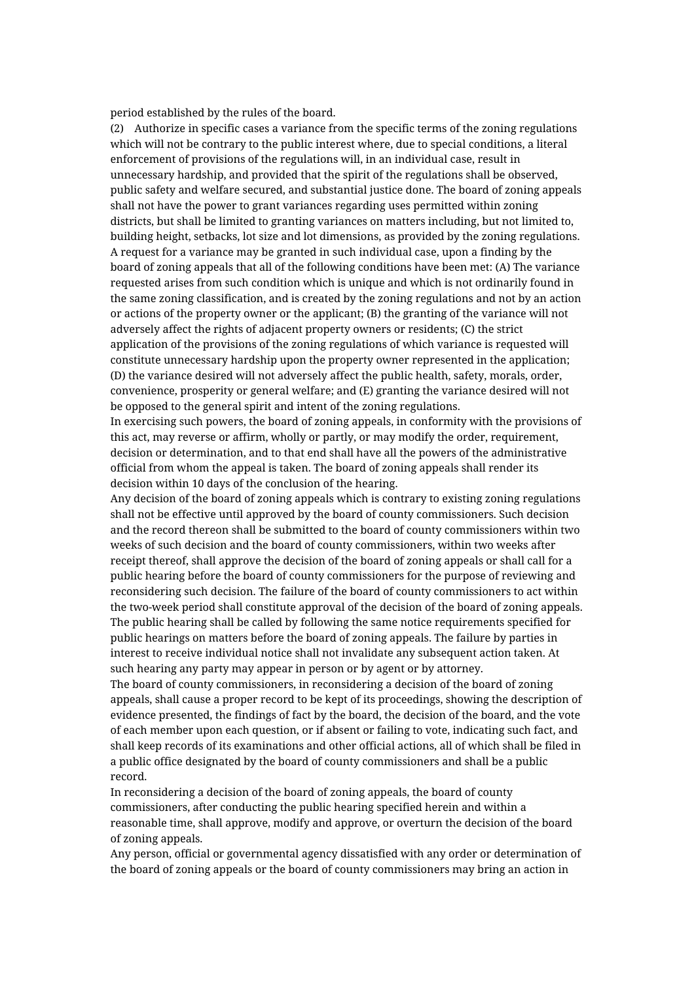period established by the rules of the board.

(2) Authorize in specific cases a variance from the specific terms of the zoning regulations which will not be contrary to the public interest where, due to special conditions, a literal enforcement of provisions of the regulations will, in an individual case, result in unnecessary hardship, and provided that the spirit of the regulations shall be observed, public safety and welfare secured, and substantial justice done. The board of zoning appeals shall not have the power to grant variances regarding uses permitted within zoning districts, but shall be limited to granting variances on matters including, but not limited to, building height, setbacks, lot size and lot dimensions, as provided by the zoning regulations. A request for a variance may be granted in such individual case, upon a finding by the board of zoning appeals that all of the following conditions have been met: (A) The variance requested arises from such condition which is unique and which is not ordinarily found in the same zoning classification, and is created by the zoning regulations and not by an action or actions of the property owner or the applicant; (B) the granting of the variance will not adversely affect the rights of adjacent property owners or residents; (C) the strict application of the provisions of the zoning regulations of which variance is requested will constitute unnecessary hardship upon the property owner represented in the application; (D) the variance desired will not adversely affect the public health, safety, morals, order, convenience, prosperity or general welfare; and (E) granting the variance desired will not be opposed to the general spirit and intent of the zoning regulations.

In exercising such powers, the board of zoning appeals, in conformity with the provisions of this act, may reverse or affirm, wholly or partly, or may modify the order, requirement, decision or determination, and to that end shall have all the powers of the administrative official from whom the appeal is taken. The board of zoning appeals shall render its decision within 10 days of the conclusion of the hearing.

Any decision of the board of zoning appeals which is contrary to existing zoning regulations shall not be effective until approved by the board of county commissioners. Such decision and the record thereon shall be submitted to the board of county commissioners within two weeks of such decision and the board of county commissioners, within two weeks after receipt thereof, shall approve the decision of the board of zoning appeals or shall call for a public hearing before the board of county commissioners for the purpose of reviewing and reconsidering such decision. The failure of the board of county commissioners to act within the two-week period shall constitute approval of the decision of the board of zoning appeals. The public hearing shall be called by following the same notice requirements specified for public hearings on matters before the board of zoning appeals. The failure by parties in interest to receive individual notice shall not invalidate any subsequent action taken. At such hearing any party may appear in person or by agent or by attorney.

The board of county commissioners, in reconsidering a decision of the board of zoning appeals, shall cause a proper record to be kept of its proceedings, showing the description of evidence presented, the findings of fact by the board, the decision of the board, and the vote of each member upon each question, or if absent or failing to vote, indicating such fact, and shall keep records of its examinations and other official actions, all of which shall be filed in a public office designated by the board of county commissioners and shall be a public record.

In reconsidering a decision of the board of zoning appeals, the board of county commissioners, after conducting the public hearing specified herein and within a reasonable time, shall approve, modify and approve, or overturn the decision of the board of zoning appeals.

Any person, official or governmental agency dissatisfied with any order or determination of the board of zoning appeals or the board of county commissioners may bring an action in